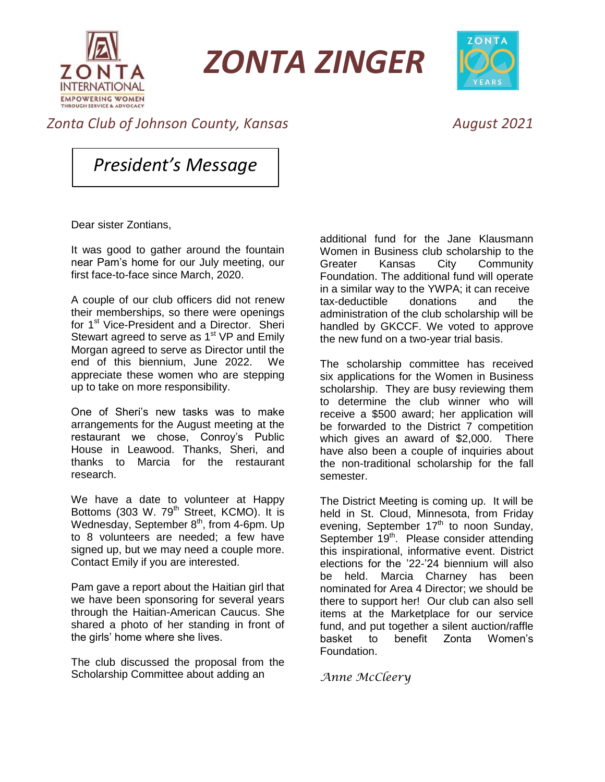

*ZONTA ZINGER*



## *Zonta Club of Johnson County, Kansas August 2021*

*President's Message*

Dear sister Zontians,

It was good to gather around the fountain near Pam's home for our July meeting, our first face-to-face since March, 2020.

A couple of our club officers did not renew their memberships, so there were openings for 1<sup>st</sup> Vice-President and a Director. Sheri Stewart agreed to serve as 1<sup>st</sup> VP and Emily Morgan agreed to serve as Director until the end of this biennium, June 2022. We appreciate these women who are stepping up to take on more responsibility.

One of Sheri's new tasks was to make arrangements for the August meeting at the restaurant we chose, Conroy's Public House in Leawood. Thanks, Sheri, and thanks to Marcia for the restaurant research.

We have a date to volunteer at Happy Bottoms (303 W. 79<sup>th</sup> Street, KCMO). It is Wednesday, September 8<sup>th</sup>, from 4-6pm. Up to 8 volunteers are needed; a few have signed up, but we may need a couple more. Contact Emily if you are interested.

Pam gave a report about the Haitian girl that we have been sponsoring for several years through the Haitian-American Caucus. She shared a photo of her standing in front of the girls' home where she lives.

The club discussed the proposal from the Scholarship Committee about adding an

additional fund for the Jane Klausmann Women in Business club scholarship to the Greater Kansas City Community Foundation. The additional fund will operate in a similar way to the YWPA; it can receive tax-deductible donations and the administration of the club scholarship will be handled by GKCCF. We voted to approve the new fund on a two-year trial basis.

The scholarship committee has received six applications for the Women in Business scholarship. They are busy reviewing them to determine the club winner who will receive a \$500 award; her application will be forwarded to the District 7 competition which gives an award of \$2,000. There have also been a couple of inquiries about the non-traditional scholarship for the fall semester.

The District Meeting is coming up. It will be held in St. Cloud, Minnesota, from Friday evening, September 17<sup>th</sup> to noon Sunday, September 19<sup>th</sup>. Please consider attending this inspirational, informative event. District elections for the '22-'24 biennium will also be held. Marcia Charney has been nominated for Area 4 Director; we should be there to support her! Our club can also sell items at the Marketplace for our service fund, and put together a silent auction/raffle basket to benefit Zonta Women's Foundation.

*Anne McCleery*